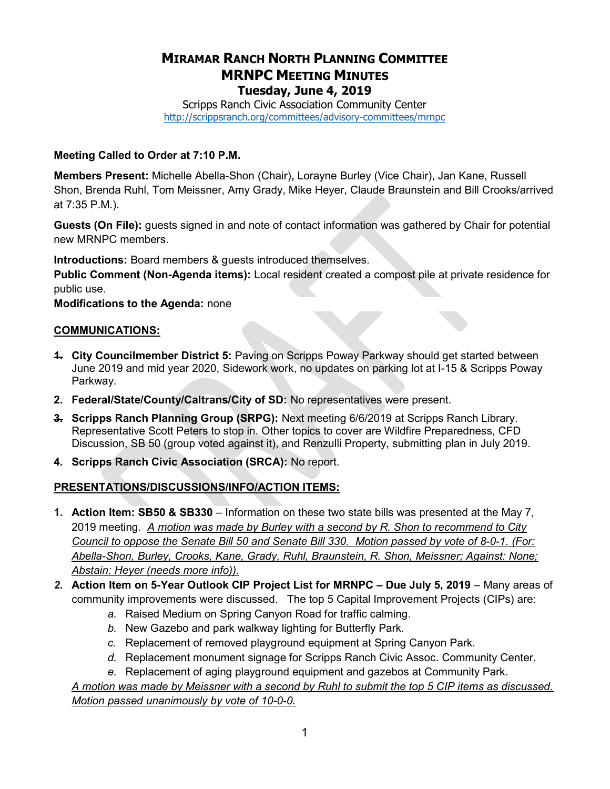# MIRAMAR RANCH NORTH PLANNING COMMITTEE MRNPC MEETING MINUTES Tuesday, June 4, 2019

Scripps Ranch Civic Association Community Center http://scrippsranch.org/committees/advisory-committees/mrnpc

### Meeting Called to Order at 7:10 P.M.

Members Present: Michelle Abella-Shon (Chair), Lorayne Burley (Vice Chair), Jan Kane, Russell Shon, Brenda Ruhl, Tom Meissner, Amy Grady, Mike Heyer, Claude Braunstein and Bill Crooks/arrived at 7:35 P.M.).

Guests (On File): guests signed in and note of contact information was gathered by Chair for potential new MRNPC members.

Introductions: Board members & guests introduced themselves.

Public Comment (Non-Agenda items): Local resident created a compost pile at private residence for public use.

Modifications to the Agenda: none

## COMMUNICATIONS:

- **1. City Councilmember District 5:** Paving on Scripps Poway Parkway should get started between June 2019 and mid year 2020, Sidework work, no updates on parking lot at I-15 & Scripps Poway Parkway.
- 2. Federal/State/County/Caltrans/City of SD: No representatives were present.
- **3. Scripps Ranch Planning Group (SRPG):** Next meeting 6/6/2019 at Scripps Ranch Library. Representative Scott Peters to stop in. Other topics to cover are Wildfire Preparedness, CFD Discussion, SB 50 (group voted against it), and Renzulli Property, submitting plan in July 2019.
- 4. Scripps Ranch Civic Association (SRCA): No report.

## PRESENTATIONS/DISCUSSIONS/INFO/ACTION ITEMS:

- 1. Action Item: SB50 & SB330 Information on these two state bills was presented at the May 7, 2019 meeting. A motion was made by Burley with a second by R. Shon to recommend to City Council to oppose the Senate Bill 50 and Senate Bill 330. Motion passed by vote of 8-0-1. (For: Abella-Shon, Burley, Crooks, Kane, Grady, Ruhl, Braunstein, R. Shon, Meissner; Against: None; Abstain: Heyer (needs more info)).
- 2. Action Item on 5-Year Outlook CIP Project List for MRNPC Due July 5, 2019 Many areas of community improvements were discussed. The top 5 Capital Improvement Projects (CIPs) are:
	- a. Raised Medium on Spring Canyon Road for traffic calming.
	- b. New Gazebo and park walkway lighting for Butterfly Park.
	- c. Replacement of removed playground equipment at Spring Canyon Park.
	- d. Replacement monument signage for Scripps Ranch Civic Assoc. Community Center.
	- e. Replacement of aging playground equipment and gazebos at Community Park.

A motion was made by Meissner with a second by Ruhl to submit the top 5 CIP items as discussed. Motion passed unanimously by vote of 10-0-0.